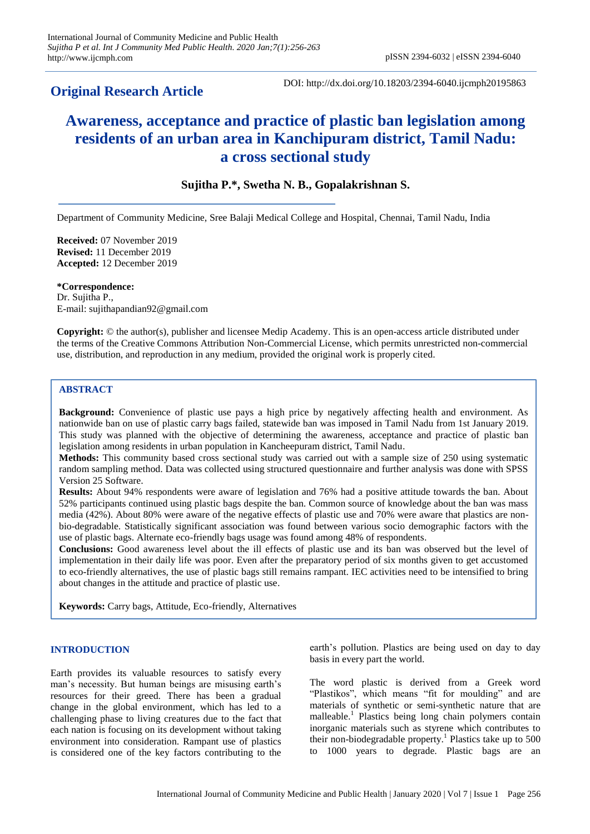## **Original Research Article**

DOI: http://dx.doi.org/10.18203/2394-6040.ijcmph20195863

# **Awareness, acceptance and practice of plastic ban legislation among residents of an urban area in Kanchipuram district, Tamil Nadu: a cross sectional study**

### **Sujitha P.\*, Swetha N. B., Gopalakrishnan S.**

Department of Community Medicine, Sree Balaji Medical College and Hospital, Chennai, Tamil Nadu, India

**Received:** 07 November 2019 **Revised:** 11 December 2019 **Accepted:** 12 December 2019

**\*Correspondence:** Dr. Sujitha P., E-mail: sujithapandian92@gmail.com

**Copyright:** © the author(s), publisher and licensee Medip Academy. This is an open-access article distributed under the terms of the Creative Commons Attribution Non-Commercial License, which permits unrestricted non-commercial use, distribution, and reproduction in any medium, provided the original work is properly cited.

#### **ABSTRACT**

**Background:** Convenience of plastic use pays a high price by negatively affecting health and environment. As nationwide ban on use of plastic carry bags failed, statewide ban was imposed in Tamil Nadu from 1st January 2019. This study was planned with the objective of determining the awareness, acceptance and practice of plastic ban legislation among residents in urban population in Kancheepuram district, Tamil Nadu.

**Methods:** This community based cross sectional study was carried out with a sample size of 250 using systematic random sampling method. Data was collected using structured questionnaire and further analysis was done with SPSS Version 25 Software.

**Results:** About 94% respondents were aware of legislation and 76% had a positive attitude towards the ban. About 52% participants continued using plastic bags despite the ban. Common source of knowledge about the ban was mass media (42%). About 80% were aware of the negative effects of plastic use and 70% were aware that plastics are nonbio-degradable. Statistically significant association was found between various socio demographic factors with the use of plastic bags. Alternate eco-friendly bags usage was found among 48% of respondents.

**Conclusions:** Good awareness level about the ill effects of plastic use and its ban was observed but the level of implementation in their daily life was poor. Even after the preparatory period of six months given to get accustomed to eco-friendly alternatives, the use of plastic bags still remains rampant. IEC activities need to be intensified to bring about changes in the attitude and practice of plastic use.

**Keywords:** Carry bags, Attitude, Eco-friendly, Alternatives

#### **INTRODUCTION**

Earth provides its valuable resources to satisfy every man's necessity. But human beings are misusing earth's resources for their greed. There has been a gradual change in the global environment, which has led to a challenging phase to living creatures due to the fact that each nation is focusing on its development without taking environment into consideration. Rampant use of plastics is considered one of the key factors contributing to the

earth's pollution. Plastics are being used on day to day basis in every part the world.

The word plastic is derived from a Greek word "Plastikos", which means "fit for moulding" and are materials of synthetic or semi-synthetic nature that are malleable.<sup>1</sup> Plastics being long chain polymers contain inorganic materials such as styrene which contributes to their non-biodegradable property.<sup>1</sup> Plastics take up to 500 to 1000 years to degrade. Plastic bags are an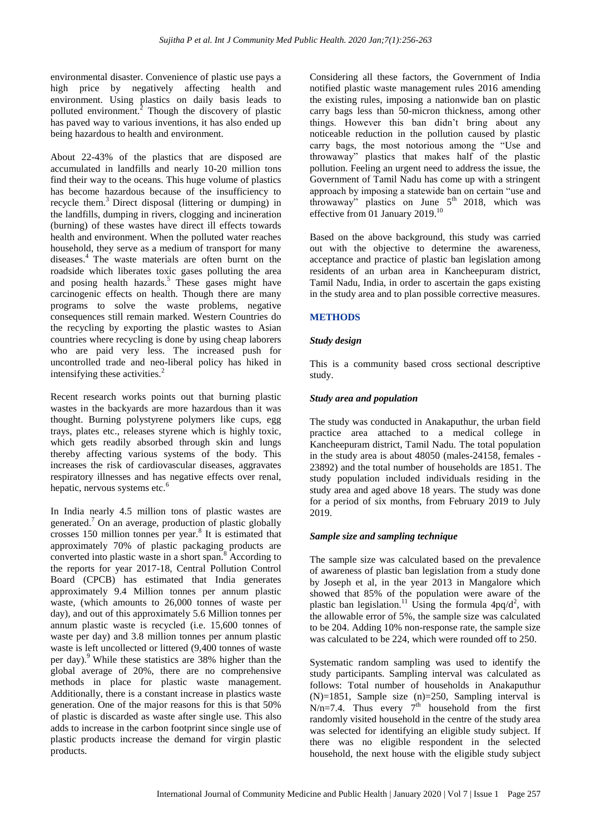environmental disaster. Convenience of plastic use pays a high price by negatively affecting health and environment. Using plastics on daily basis leads to polluted environment. $2$  Though the discovery of plastic has paved way to various inventions, it has also ended up being hazardous to health and environment.

About 22-43% of the plastics that are disposed are accumulated in landfills and nearly 10-20 million tons find their way to the oceans. This huge volume of plastics has become hazardous because of the insufficiency to recycle them.<sup>3</sup> Direct disposal (littering or dumping) in the landfills, dumping in rivers, clogging and incineration (burning) of these wastes have direct ill effects towards health and environment. When the polluted water reaches household, they serve as a medium of transport for many diseases.<sup>4</sup> The waste materials are often burnt on the roadside which liberates toxic gases polluting the area and posing health hazards. $5$  These gases might have carcinogenic effects on health. Though there are many programs to solve the waste problems, negative consequences still remain marked. Western Countries do the recycling by exporting the plastic wastes to Asian countries where recycling is done by using cheap laborers who are paid very less. The increased push for uncontrolled trade and neo-liberal policy has hiked in intensifying these activities.<sup>2</sup>

Recent research works points out that burning plastic wastes in the backyards are more hazardous than it was thought. Burning polystyrene polymers like cups, egg trays, plates etc., releases styrene which is highly toxic, which gets readily absorbed through skin and lungs thereby affecting various systems of the body. This increases the risk of cardiovascular diseases, aggravates respiratory illnesses and has negative effects over renal, hepatic, nervous systems etc.<sup>6</sup>

In India nearly 4.5 million tons of plastic wastes are generated.<sup>7</sup> On an average, production of plastic globally crosses 150 million tonnes per year.<sup>8</sup> It is estimated that approximately 70% of plastic packaging products are converted into plastic waste in a short span.<sup>8</sup> According to the reports for year 2017-18, Central Pollution Control Board (CPCB) has estimated that India generates approximately 9.4 Million tonnes per annum plastic waste, (which amounts to 26,000 tonnes of waste per day), and out of this approximately 5.6 Million tonnes per annum plastic waste is recycled (i.e. 15,600 tonnes of waste per day) and 3.8 million tonnes per annum plastic waste is left uncollected or littered (9,400 tonnes of waste per day).<sup>9</sup> While these statistics are  $38\%$  higher than the global average of 20%, there are no comprehensive methods in place for plastic waste management. Additionally, there is a constant increase in plastics waste generation. One of the major reasons for this is that 50% of plastic is discarded as waste after single use. This also adds to increase in the carbon footprint since single use of plastic products increase the demand for virgin plastic products.

Considering all these factors, the Government of India notified plastic waste management rules 2016 amending the existing rules, imposing a nationwide ban on plastic carry bags less than 50-micron thickness, among other things. However this ban didn't bring about any noticeable reduction in the pollution caused by plastic carry bags, the most notorious among the "Use and throwaway" plastics that makes half of the plastic pollution. Feeling an urgent need to address the issue, the Government of Tamil Nadu has come up with a stringent approach by imposing a statewide ban on certain "use and throwaway" plastics on June  $5<sup>th</sup>$  2018, which was effective from 01 January 2019.<sup>10</sup>

Based on the above background, this study was carried out with the objective to determine the awareness, acceptance and practice of plastic ban legislation among residents of an urban area in Kancheepuram district, Tamil Nadu, India, in order to ascertain the gaps existing in the study area and to plan possible corrective measures.

#### **METHODS**

#### *Study design*

This is a community based cross sectional descriptive study.

#### *Study area and population*

The study was conducted in Anakaputhur, the urban field practice area attached to a medical college in Kancheepuram district, Tamil Nadu. The total population in the study area is about 48050 (males-24158, females - 23892) and the total number of households are 1851. The study population included individuals residing in the study area and aged above 18 years. The study was done for a period of six months, from February 2019 to July 2019.

#### *Sample size and sampling technique*

The sample size was calculated based on the prevalence of awareness of plastic ban legislation from a study done by Joseph et al, in the year 2013 in Mangalore which showed that 85% of the population were aware of the plastic ban legislation.<sup>11</sup> Using the formula  $4pq/d^2$ , with the allowable error of 5%, the sample size was calculated to be 204. Adding 10% non-response rate, the sample size was calculated to be 224, which were rounded off to 250.

Systematic random sampling was used to identify the study participants. Sampling interval was calculated as follows: Total number of households in Anakaputhur (N)=1851, Sample size (n)=250, Sampling interval is  $N/n=7.4$ . Thus every  $7^{th}$  household from the first randomly visited household in the centre of the study area was selected for identifying an eligible study subject. If there was no eligible respondent in the selected household, the next house with the eligible study subject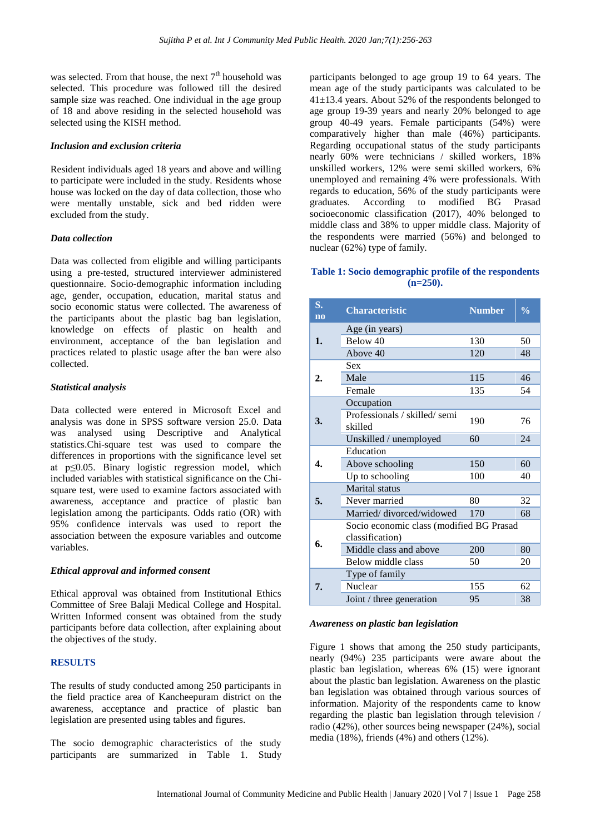was selected. From that house, the next  $7<sup>th</sup>$  household was selected. This procedure was followed till the desired sample size was reached. One individual in the age group of 18 and above residing in the selected household was selected using the KISH method.

#### *Inclusion and exclusion criteria*

Resident individuals aged 18 years and above and willing to participate were included in the study. Residents whose house was locked on the day of data collection, those who were mentally unstable, sick and bed ridden were excluded from the study.

#### *Data collection*

Data was collected from eligible and willing participants using a pre-tested, structured interviewer administered questionnaire. Socio-demographic information including age, gender, occupation, education, marital status and socio economic status were collected. The awareness of the participants about the plastic bag ban legislation, knowledge on effects of plastic on health and environment, acceptance of the ban legislation and practices related to plastic usage after the ban were also collected.

#### *Statistical analysis*

Data collected were entered in Microsoft Excel and analysis was done in SPSS software version 25.0. Data was analysed using Descriptive and Analytical statistics.Chi-square test was used to compare the differences in proportions with the significance level set at p≤0.05. Binary logistic regression model, which included variables with statistical significance on the Chisquare test, were used to examine factors associated with awareness, acceptance and practice of plastic ban legislation among the participants. Odds ratio (OR) with 95% confidence intervals was used to report the association between the exposure variables and outcome variables.

#### *Ethical approval and informed consent*

Ethical approval was obtained from Institutional Ethics Committee of Sree Balaji Medical College and Hospital. Written Informed consent was obtained from the study participants before data collection, after explaining about the objectives of the study.

#### **RESULTS**

The results of study conducted among 250 participants in the field practice area of Kancheepuram district on the awareness, acceptance and practice of plastic ban legislation are presented using tables and figures.

The socio demographic characteristics of the study participants are summarized in Table 1. Study

participants belonged to age group 19 to 64 years. The mean age of the study participants was calculated to be 41±13.4 years. About 52% of the respondents belonged to age group 19-39 years and nearly 20% belonged to age group 40-49 years. Female participants (54%) were comparatively higher than male (46%) participants. Regarding occupational status of the study participants nearly 60% were technicians / skilled workers, 18% unskilled workers, 12% were semi skilled workers, 6% unemployed and remaining 4% were professionals. With regards to education, 56% of the study participants were graduates. According to modified BG Prasad socioeconomic classification (2017), 40% belonged to middle class and 38% to upper middle class. Majority of the respondents were married (56%) and belonged to nuclear (62%) type of family.

#### **Table 1: Socio demographic profile of the respondents (n=250).**

| S.<br>$\overline{no}$ | <b>Characteristic</b>                    | <b>Number</b> | $\frac{0}{0}$ |  |  |  |  |
|-----------------------|------------------------------------------|---------------|---------------|--|--|--|--|
| 1.                    | Age (in years)                           |               |               |  |  |  |  |
|                       | Below 40                                 | 130           | 50            |  |  |  |  |
|                       | Above 40                                 | 120           | 48            |  |  |  |  |
|                       | <b>Sex</b>                               |               |               |  |  |  |  |
| 2.                    | Male                                     | 115           | 46            |  |  |  |  |
|                       | Female                                   | 135           | 54            |  |  |  |  |
|                       | Occupation                               |               |               |  |  |  |  |
| 3.                    | Professionals / skilled/semi<br>skilled  | 190           | 76            |  |  |  |  |
|                       | Unskilled / unemployed                   | 60            | 24            |  |  |  |  |
|                       | Education                                |               |               |  |  |  |  |
| 4.                    | Above schooling                          | 150           | 60            |  |  |  |  |
|                       | Up to schooling                          | 100           | 40            |  |  |  |  |
|                       | Marital status                           |               |               |  |  |  |  |
| 5.                    | Never married                            | 80            | 32            |  |  |  |  |
|                       | Married/divorced/widowed                 | 170           | 68            |  |  |  |  |
|                       | Socio economic class (modified BG Prasad |               |               |  |  |  |  |
| 6.                    | classification)                          |               |               |  |  |  |  |
|                       | Middle class and above                   | 200           | 80            |  |  |  |  |
|                       | Below middle class                       | 50            | 20            |  |  |  |  |
| 7.                    | Type of family                           |               |               |  |  |  |  |
|                       | Nuclear                                  | 155           | 62            |  |  |  |  |
|                       | Joint / three generation                 | 95            | 38            |  |  |  |  |

#### *Awareness on plastic ban legislation*

Figure 1 shows that among the 250 study participants, nearly (94%) 235 participants were aware about the plastic ban legislation, whereas 6% (15) were ignorant about the plastic ban legislation. Awareness on the plastic ban legislation was obtained through various sources of information. Majority of the respondents came to know regarding the plastic ban legislation through television / radio (42%), other sources being newspaper (24%), social media (18%), friends (4%) and others (12%).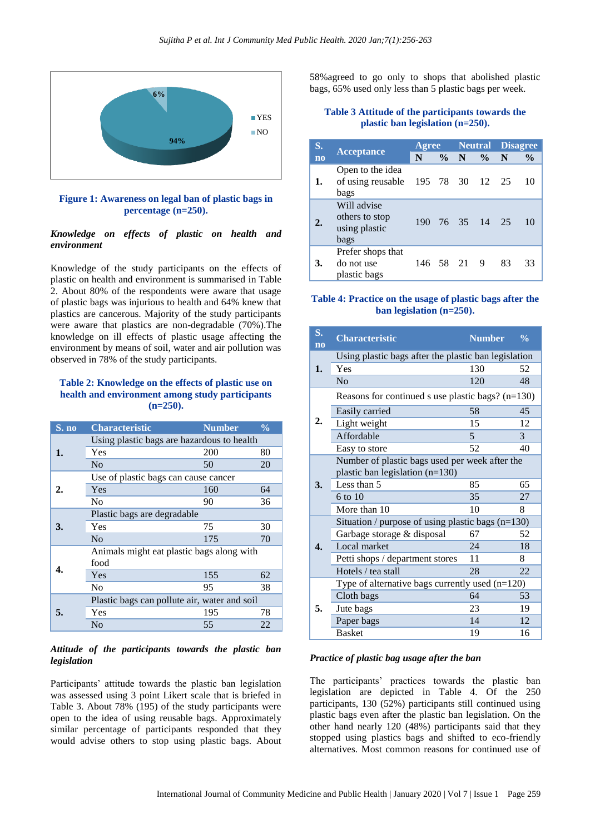

**Figure 1: Awareness on legal ban of plastic bags in percentage (n=250).**

#### *Knowledge on effects of plastic on health and environment*

Knowledge of the study participants on the effects of plastic on health and environment is summarised in Table 2. About 80% of the respondents were aware that usage of plastic bags was injurious to health and 64% knew that plastics are cancerous. Majority of the study participants were aware that plastics are non-degradable (70%).The knowledge on ill effects of plastic usage affecting the environment by means of soil, water and air pollution was observed in 78% of the study participants.

#### **Table 2: Knowledge on the effects of plastic use on health and environment among study participants (n=250).**

| S. no | <b>Characteristic</b>                        | <b>Number</b> | $\frac{0}{0}$ |  |  |  |  |
|-------|----------------------------------------------|---------------|---------------|--|--|--|--|
|       | Using plastic bags are hazardous to health   |               |               |  |  |  |  |
| 1.    | Yes                                          | 200           | 80            |  |  |  |  |
|       | No                                           | 50            | 20            |  |  |  |  |
|       | Use of plastic bags can cause cancer         |               |               |  |  |  |  |
| 2.    | Yes                                          | 160           | 64            |  |  |  |  |
|       | N <sub>0</sub>                               | 90            | 36            |  |  |  |  |
|       | Plastic bags are degradable                  |               |               |  |  |  |  |
| 3.    | Yes                                          | 75            | 30            |  |  |  |  |
|       | No                                           | 175           | 70            |  |  |  |  |
|       | Animals might eat plastic bags along with    |               |               |  |  |  |  |
|       | food                                         |               |               |  |  |  |  |
|       | Yes                                          | 155           | 62            |  |  |  |  |
|       | N <sub>0</sub>                               | 95            | 38            |  |  |  |  |
|       | Plastic bags can pollute air, water and soil |               |               |  |  |  |  |
| 5.    | Yes                                          | 195           | 78            |  |  |  |  |
|       | No                                           | 55            | 22            |  |  |  |  |

#### *Attitude of the participants towards the plastic ban legislation*

Participants' attitude towards the plastic ban legislation was assessed using 3 point Likert scale that is briefed in Table 3. About 78% (195) of the study participants were open to the idea of using reusable bags. Approximately similar percentage of participants responded that they would advise others to stop using plastic bags. About 58%agreed to go only to shops that abolished plastic bags, 65% used only less than 5 plastic bags per week.

#### **Table 3 Attitude of the participants towards the plastic ban legislation (n=250).**

| S.               |                                                        | Agree     |        |  |               | <b>Neutral Disagree</b> |               |
|------------------|--------------------------------------------------------|-----------|--------|--|---------------|-------------------------|---------------|
| $\overline{no}$  | <b>Acceptance</b>                                      | N         | $\%$ N |  | $\frac{6}{9}$ | N                       | $\frac{6}{9}$ |
| 1.               | Open to the idea<br>of using reusable<br>bags          | 195 78 30 |        |  | 12 25         |                         | 10            |
| $\overline{2}$ . | Will advise<br>others to stop<br>using plastic<br>bags | 190       |        |  | 76 35 14 25   |                         | 10            |
| 3.               | Prefer shops that<br>do not use<br>plastic bags        | 146 58 21 |        |  | 9             | 83                      | 33            |

#### **Table 4: Practice on the usage of plastic bags after the ban legislation (n=250).**

| S.<br>$\overline{no}$   | <b>Characteristic</b>                                                               | <b>Number</b> | $\frac{0}{\alpha}$ |  |  |  |  |
|-------------------------|-------------------------------------------------------------------------------------|---------------|--------------------|--|--|--|--|
| 1.                      | Using plastic bags after the plastic ban legislation                                |               |                    |  |  |  |  |
|                         | Yes                                                                                 | 130           | 52                 |  |  |  |  |
|                         | No                                                                                  | 120           | 48                 |  |  |  |  |
|                         | Reasons for continued s use plastic bags? $(n=130)$                                 |               |                    |  |  |  |  |
|                         | Easily carried                                                                      | 58            | 45                 |  |  |  |  |
| $\overline{2}$ .        | Light weight                                                                        | 15            | 12                 |  |  |  |  |
|                         | Affordable                                                                          | 5             | 3                  |  |  |  |  |
|                         | Easy to store                                                                       | 52            | 40                 |  |  |  |  |
|                         | Number of plastic bags used per week after the<br>plastic ban legislation $(n=130)$ |               |                    |  |  |  |  |
| 3.                      | Less than 5                                                                         | 85            | 65                 |  |  |  |  |
|                         | $6 \text{ to } 10$                                                                  | 35            | 27                 |  |  |  |  |
|                         | More than 10                                                                        | 10            | 8                  |  |  |  |  |
|                         | Situation / purpose of using plastic bags $(n=130)$                                 |               |                    |  |  |  |  |
|                         | Garbage storage & disposal                                                          | 67            | 52                 |  |  |  |  |
| $\boldsymbol{\Delta}$ . | Local market                                                                        | 24            | 18                 |  |  |  |  |
|                         | Petti shops / department stores                                                     | 11            | 8                  |  |  |  |  |
|                         | Hotels / tea stall                                                                  | 28            | 22                 |  |  |  |  |
|                         | Type of alternative bags currently used $(n=120)$                                   |               |                    |  |  |  |  |
|                         | Cloth bags                                                                          | 64            | 53                 |  |  |  |  |
| 5.                      | Jute bags                                                                           | 23            | 19                 |  |  |  |  |
|                         | Paper bags                                                                          | 14            | 12                 |  |  |  |  |
|                         | <b>Basket</b>                                                                       | 19            | 16                 |  |  |  |  |

#### *Practice of plastic bag usage after the ban*

The participants' practices towards the plastic ban legislation are depicted in Table 4. Of the 250 participants, 130 (52%) participants still continued using plastic bags even after the plastic ban legislation. On the other hand nearly 120 (48%) participants said that they stopped using plastics bags and shifted to eco-friendly alternatives. Most common reasons for continued use of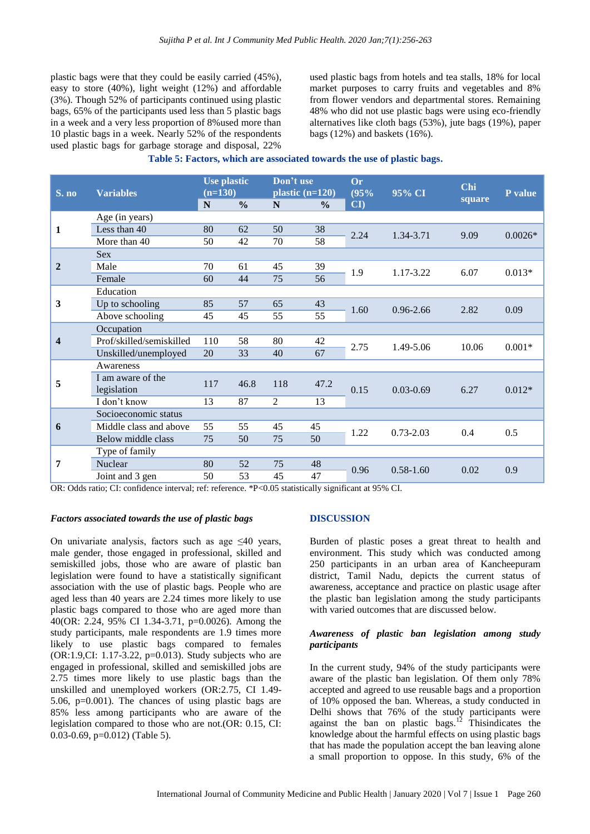plastic bags were that they could be easily carried (45%), easy to store (40%), light weight (12%) and affordable (3%). Though 52% of participants continued using plastic bags, 65% of the participants used less than 5 plastic bags in a week and a very less proportion of 8%used more than 10 plastic bags in a week. Nearly 52% of the respondents used plastic bags for garbage storage and disposal, 22%

used plastic bags from hotels and tea stalls, 18% for local market purposes to carry fruits and vegetables and 8% from flower vendors and departmental stores. Remaining 48% who did not use plastic bags were using eco-friendly alternatives like cloth bags (53%), jute bags (19%), paper bags (12%) and baskets (16%).

| Table 5: Factors, which are associated towards the use of plastic bags. |  |  |  |  |  |
|-------------------------------------------------------------------------|--|--|--|--|--|
|-------------------------------------------------------------------------|--|--|--|--|--|

| S. no                   | <b>Variables</b>         | <b>Use plastic</b><br>$(n=130)$ |               | Don't use<br>plastic $(n=120)$ |               | Or<br>(95% | 95% CI        | Chi    | P value   |
|-------------------------|--------------------------|---------------------------------|---------------|--------------------------------|---------------|------------|---------------|--------|-----------|
|                         |                          | $\mathbf N$                     | $\frac{0}{0}$ | N                              | $\frac{6}{6}$ | CI         |               | square |           |
|                         | Age (in years)           |                                 |               |                                |               |            |               |        |           |
| $\mathbf{1}$            | Less than 40             | 80                              | 62            | 50                             | 38            | 2.24       | 1.34-3.71     | 9.09   | $0.0026*$ |
|                         | More than 40             | 50                              | 42            | 70                             | 58            |            |               |        |           |
|                         | <b>Sex</b>               |                                 |               |                                |               |            |               |        |           |
| $\overline{2}$          | Male                     | 70                              | 61            | 45                             | 39            | 1.9        | 1.17-3.22     | 6.07   | $0.013*$  |
|                         | Female                   | 60                              | 44            | 75                             | 56            |            |               |        |           |
|                         | Education                |                                 |               |                                |               |            |               |        |           |
| 3                       | Up to schooling          | 85                              | 57            | 65                             | 43            | 1.60       | $0.96 - 2.66$ | 2.82   | 0.09      |
|                         | Above schooling          | 45                              | 45            | 55                             | 55            |            |               |        |           |
|                         | Occupation               |                                 |               |                                |               |            |               |        |           |
| $\overline{\mathbf{4}}$ | Prof/skilled/semiskilled | 110                             | 58            | 80                             | 42            | 2.75       | 1.49-5.06     | 10.06  | $0.001*$  |
|                         | Unskilled/unemployed     | 20                              | 33            | 40                             | 67            |            |               |        |           |
|                         | Awareness                |                                 |               |                                |               |            |               |        |           |
| 5                       | I am aware of the        | 117                             | 46.8          | 118                            | 47.2          | 0.15       | $0.03 - 0.69$ | 6.27   | $0.012*$  |
|                         | legislation              |                                 |               |                                |               |            |               |        |           |
|                         | I don't know             | 13                              | 87            | 2                              | 13            |            |               |        |           |
| 6                       | Socioeconomic status     |                                 |               |                                |               |            |               |        |           |
|                         | Middle class and above   | 55                              | 55            | 45                             | 45            | 1.22       | $0.73 - 2.03$ | 0.4    | 0.5       |
|                         | Below middle class       | 75                              | 50            | 75                             | 50            |            |               |        |           |
| 7                       | Type of family           |                                 |               |                                |               |            |               |        |           |
|                         | Nuclear                  | 80                              | 52            | 75                             | 48            | 0.96       | $0.58 - 1.60$ | 0.02   | 0.9       |
|                         | Joint and 3 gen          | 50                              | 53            | 45                             | 47            |            |               |        |           |

OR: Odds ratio; CI: confidence interval; ref: reference. \*P<0.05 statistically significant at 95% CI.

#### *Factors associated towards the use of plastic bags*

On univariate analysis, factors such as age  $\leq 40$  years, male gender, those engaged in professional, skilled and semiskilled jobs, those who are aware of plastic ban legislation were found to have a statistically significant association with the use of plastic bags. People who are aged less than 40 years are 2.24 times more likely to use plastic bags compared to those who are aged more than 40(OR: 2.24, 95% CI 1.34-3.71, p=0.0026). Among the study participants, male respondents are 1.9 times more likely to use plastic bags compared to females  $(OR:1.9, CI: 1.17-3.22, p=0.013)$ . Study subjects who are engaged in professional, skilled and semiskilled jobs are 2.75 times more likely to use plastic bags than the unskilled and unemployed workers (OR:2.75, CI 1.49- 5.06, p=0.001). The chances of using plastic bags are 85% less among participants who are aware of the legislation compared to those who are not.(OR: 0.15, CI: 0.03-0.69, p=0.012) (Table 5).

#### **DISCUSSION**

Burden of plastic poses a great threat to health and environment. This study which was conducted among 250 participants in an urban area of Kancheepuram district, Tamil Nadu, depicts the current status of awareness, acceptance and practice on plastic usage after the plastic ban legislation among the study participants with varied outcomes that are discussed below.

#### *Awareness of plastic ban legislation among study participants*

In the current study, 94% of the study participants were aware of the plastic ban legislation. Of them only 78% accepted and agreed to use reusable bags and a proportion of 10% opposed the ban. Whereas, a study conducted in Delhi shows that 76% of the study participants were against the ban on plastic bags.<sup>12</sup> Thisindicates the knowledge about the harmful effects on using plastic bags that has made the population accept the ban leaving alone a small proportion to oppose. In this study, 6% of the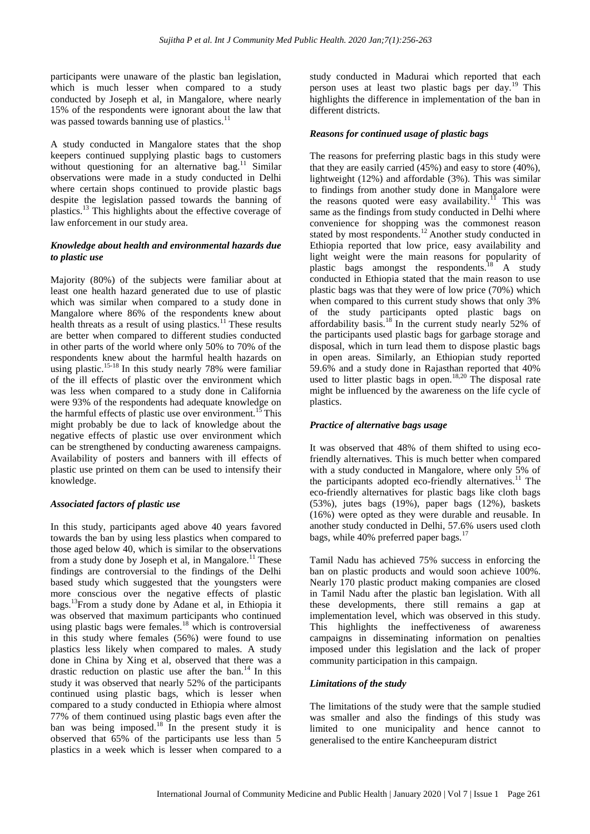participants were unaware of the plastic ban legislation, which is much lesser when compared to a study conducted by Joseph et al, in Mangalore, where nearly 15% of the respondents were ignorant about the law that was passed towards banning use of plastics.<sup>11</sup>

A study conducted in Mangalore states that the shop keepers continued supplying plastic bags to customers without questioning for an alternative bag.<sup>11</sup> Similar observations were made in a study conducted in Delhi where certain shops continued to provide plastic bags despite the legislation passed towards the banning of plastics.<sup>13</sup> This highlights about the effective coverage of law enforcement in our study area.

#### *Knowledge about health and environmental hazards due to plastic use*

Majority (80%) of the subjects were familiar about at least one health hazard generated due to use of plastic which was similar when compared to a study done in Mangalore where 86% of the respondents knew about health threats as a result of using plastics.<sup>11</sup> These results are better when compared to different studies conducted in other parts of the world where only 50% to 70% of the respondents knew about the harmful health hazards on using plastic.<sup>15-18</sup> In this study nearly 78% were familiar of the ill effects of plastic over the environment which was less when compared to a study done in California were 93% of the respondents had adequate knowledge on the harmful effects of plastic use over environment.<sup>15</sup> This might probably be due to lack of knowledge about the negative effects of plastic use over environment which can be strengthened by conducting awareness campaigns. Availability of posters and banners with ill effects of plastic use printed on them can be used to intensify their knowledge.

#### *Associated factors of plastic use*

In this study, participants aged above 40 years favored towards the ban by using less plastics when compared to those aged below 40, which is similar to the observations from a study done by Joseph et al, in Mangalore.<sup>11</sup> These findings are controversial to the findings of the Delhi based study which suggested that the youngsters were more conscious over the negative effects of plastic bags.<sup>13</sup>From a study done by Adane et al, in Ethiopia it was observed that maximum participants who continued using plastic bags were females.<sup>18</sup> which is controversial in this study where females (56%) were found to use plastics less likely when compared to males. A study done in China by Xing et al, observed that there was a drastic reduction on plastic use after the ban.<sup>14</sup> In this study it was observed that nearly 52% of the participants continued using plastic bags, which is lesser when compared to a study conducted in Ethiopia where almost 77% of them continued using plastic bags even after the ban was being imposed.<sup>18</sup> In the present study it is observed that 65% of the participants use less than 5 plastics in a week which is lesser when compared to a

study conducted in Madurai which reported that each person uses at least two plastic bags per day.<sup>19</sup> This highlights the difference in implementation of the ban in different districts.

#### *Reasons for continued usage of plastic bags*

The reasons for preferring plastic bags in this study were that they are easily carried (45%) and easy to store (40%), lightweight (12%) and affordable (3%). This was similar to findings from another study done in Mangalore were the reasons quoted were easy availability.<sup>11</sup> This was same as the findings from study conducted in Delhi where convenience for shopping was the commonest reason stated by most respondents.<sup>12</sup> Another study conducted in Ethiopia reported that low price, easy availability and light weight were the main reasons for popularity of plastic bags amongst the respondents.<sup>18</sup> A study conducted in Ethiopia stated that the main reason to use plastic bags was that they were of low price (70%) which when compared to this current study shows that only 3% of the study participants opted plastic bags on affordability basis.<sup>18</sup> In the current study nearly 52% of the participants used plastic bags for garbage storage and disposal, which in turn lead them to dispose plastic bags in open areas. Similarly, an Ethiopian study reported 59.6% and a study done in Rajasthan reported that 40% used to litter plastic bags in open.<sup>18,20</sup> The disposal rate might be influenced by the awareness on the life cycle of plastics.

#### *Practice of alternative bags usage*

It was observed that 48% of them shifted to using ecofriendly alternatives. This is much better when compared with a study conducted in Mangalore, where only 5% of the participants adopted eco-friendly alternatives.<sup>11</sup> The eco-friendly alternatives for plastic bags like cloth bags (53%), jutes bags (19%), paper bags (12%), baskets (16%) were opted as they were durable and reusable. In another study conducted in Delhi, 57.6% users used cloth bags, while 40% preferred paper bags. $^{17}$ 

Tamil Nadu has achieved 75% success in enforcing the ban on plastic products and would soon achieve 100%. Nearly 170 plastic product making companies are closed in Tamil Nadu after the plastic ban legislation. With all these developments, there still remains a gap at implementation level, which was observed in this study. This highlights the ineffectiveness of awareness campaigns in disseminating information on penalties imposed under this legislation and the lack of proper community participation in this campaign.

#### *Limitations of the study*

The limitations of the study were that the sample studied was smaller and also the findings of this study was limited to one municipality and hence cannot to generalised to the entire Kancheepuram district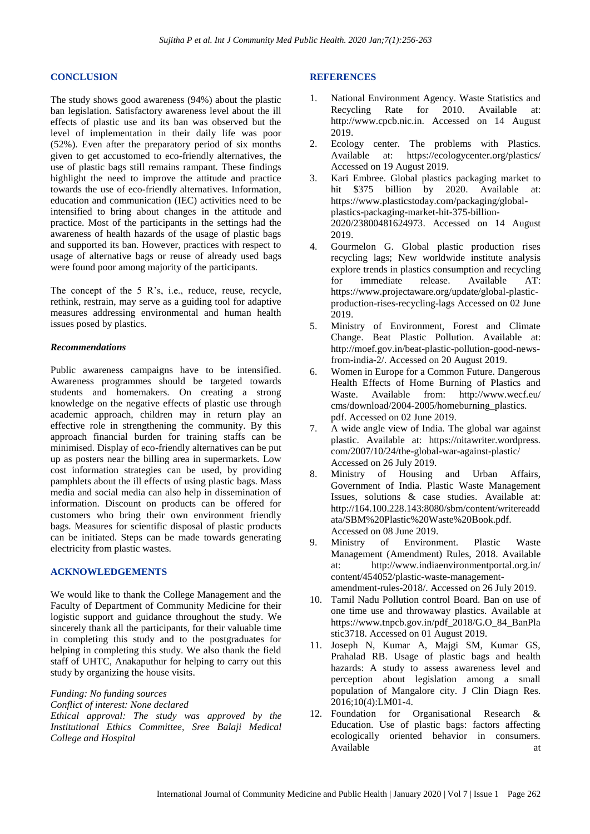#### **CONCLUSION**

The study shows good awareness (94%) about the plastic ban legislation. Satisfactory awareness level about the ill effects of plastic use and its ban was observed but the level of implementation in their daily life was poor (52%). Even after the preparatory period of six months given to get accustomed to eco-friendly alternatives, the use of plastic bags still remains rampant. These findings highlight the need to improve the attitude and practice towards the use of eco-friendly alternatives. Information, education and communication (IEC) activities need to be intensified to bring about changes in the attitude and practice. Most of the participants in the settings had the awareness of health hazards of the usage of plastic bags and supported its ban. However, practices with respect to usage of alternative bags or reuse of already used bags were found poor among majority of the participants.

The concept of the 5 R's, i.e., reduce, reuse, recycle, rethink, restrain, may serve as a guiding tool for adaptive measures addressing environmental and human health issues posed by plastics.

#### *Recommendations*

Public awareness campaigns have to be intensified. Awareness programmes should be targeted towards students and homemakers. On creating a strong knowledge on the negative effects of plastic use through academic approach, children may in return play an effective role in strengthening the community. By this approach financial burden for training staffs can be minimised. Display of eco-friendly alternatives can be put up as posters near the billing area in supermarkets. Low cost information strategies can be used, by providing pamphlets about the ill effects of using plastic bags. Mass media and social media can also help in dissemination of information. Discount on products can be offered for customers who bring their own environment friendly bags. Measures for scientific disposal of plastic products can be initiated. Steps can be made towards generating electricity from plastic wastes.

#### **ACKNOWLEDGEMENTS**

We would like to thank the College Management and the Faculty of Department of Community Medicine for their logistic support and guidance throughout the study. We sincerely thank all the participants, for their valuable time in completing this study and to the postgraduates for helping in completing this study. We also thank the field staff of UHTC, Anakaputhur for helping to carry out this study by organizing the house visits.

*Funding: No funding sources*

*Conflict of interest: None declared*

*Ethical approval: The study was approved by the Institutional Ethics Committee, Sree Balaji Medical College and Hospital*

#### **REFERENCES**

- 1. National Environment Agency. Waste Statistics and Recycling Rate for 2010. Available at: http://www.cpcb.nic.in. Accessed on 14 August 2019.
- 2. Ecology center. The problems with Plastics. Available at: https://ecologycenter.org/plastics/ Accessed on 19 August 2019.
- 3. Kari Embree. Global plastics packaging market to hit \$375 billion by 2020. Available at: https://www.plasticstoday.com/packaging/globalplastics-packaging-market-hit-375-billion-2020/23800481624973. Accessed on 14 August 2019.
- 4. Gourmelon G. Global plastic production rises recycling lags; New worldwide institute analysis explore trends in plastics consumption and recycling for immediate release. Available AT: https://www.projectaware.org/update/global-plasticproduction-rises-recycling-lags Accessed on 02 June 2019.
- 5. Ministry of Environment, Forest and Climate Change. Beat Plastic Pollution. Available at: http://moef.gov.in/beat-plastic-pollution-good-newsfrom-india-2/. Accessed on 20 August 2019.
- 6. Women in Europe for a Common Future. Dangerous Health Effects of Home Burning of Plastics and Waste. Available from: http://www.wecf.eu/ cms/download/2004-2005/homeburning\_plastics. pdf. Accessed on 02 June 2019.
- 7. A wide angle view of India. The global war against plastic. Available at: https://nitawriter.wordpress. com/2007/10/24/the-global-war-against-plastic/ Accessed on 26 July 2019.
- 8. Ministry of Housing and Urban Affairs, Government of India. Plastic Waste Management Issues, solutions & case studies. Available at: http://164.100.228.143:8080/sbm/content/writereadd ata/SBM%20Plastic%20Waste%20Book.pdf. Accessed on 08 June 2019.
- 9. Ministry of Environment. Plastic Waste Management (Amendment) Rules, 2018. Available at: http://www.indiaenvironmentportal.org.in/ content/454052/plastic-waste-managementamendment-rules-2018/. Accessed on 26 July 2019.
- 10. Tamil Nadu Pollution control Board. Ban on use of one time use and throwaway plastics. Available at https://www.tnpcb.gov.in/pdf\_2018/G.O\_84\_BanPla stic3718. Accessed on 01 August 2019.
- 11. Joseph N, Kumar A, Majgi SM, Kumar GS, Prahalad RB. Usage of plastic bags and health hazards: A study to assess awareness level and perception about legislation among a small population of Mangalore city. J Clin Diagn Res. 2016;10(4):LM01-4.
- 12. Foundation for Organisational Research & Education. Use of plastic bags: factors affecting ecologically oriented behavior in consumers. Available at a state at a state at a state at a state at a state at a state at a state at a state at a state at a state at a state at a state at a state at a state at a state at a state at a state at a state at a state at